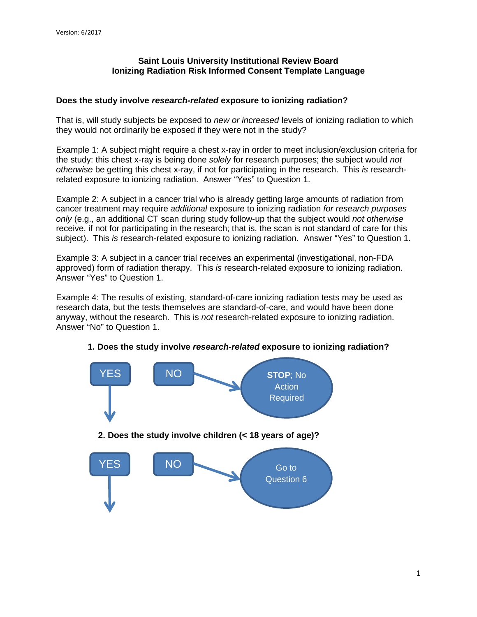# **Saint Louis University Institutional Review Board Ionizing Radiation Risk Informed Consent Template Language**

## **Does the study involve** *research-related* **exposure to ionizing radiation?**

That is, will study subjects be exposed to *new or increased* levels of ionizing radiation to which they would not ordinarily be exposed if they were not in the study?

Example 1: A subject might require a chest x-ray in order to meet inclusion/exclusion criteria for the study: this chest x-ray is being done *solely* for research purposes; the subject would *not otherwise* be getting this chest x-ray, if not for participating in the research. This *is* researchrelated exposure to ionizing radiation. Answer "Yes" to Question 1.

Example 2: A subject in a cancer trial who is already getting large amounts of radiation from cancer treatment may require *additional* exposure to ionizing radiation *for research purposes only* (e.g., an additional CT scan during study follow-up that the subject would *not otherwise*  receive, if not for participating in the research; that is, the scan is not standard of care for this subject). This *is* research-related exposure to ionizing radiation. Answer "Yes" to Question 1.

Example 3: A subject in a cancer trial receives an experimental (investigational, non-FDA approved) form of radiation therapy. This *is* research-related exposure to ionizing radiation. Answer "Yes" to Question 1.

Example 4: The results of existing, standard-of-care ionizing radiation tests may be used as research data, but the tests themselves are standard-of-care, and would have been done anyway, without the research. This is *not* research-related exposure to ionizing radiation. Answer "No" to Question 1.



## **1. Does the study involve** *research-related* **exposure to ionizing radiation?**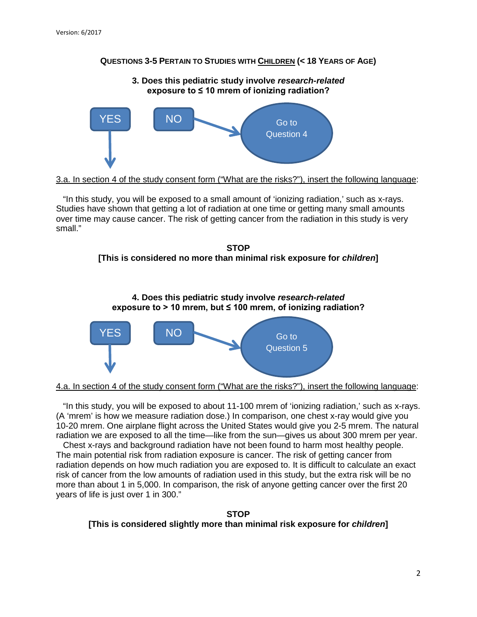# **QUESTIONS 3-5 PERTAIN TO STUDIES WITH CHILDREN (< 18 YEARS OF AGE)**





<sup>3.</sup>a. In section 4 of the study consent form ("What are the risks?"), insert the following language:

"In this study, you will be exposed to a small amount of 'ionizing radiation,' such as x-rays. Studies have shown that getting a lot of radiation at one time or getting many small amounts over time may cause cancer. The risk of getting cancer from the radiation in this study is very small."







4.a. In section 4 of the study consent form ("What are the risks?"), insert the following language:

"In this study, you will be exposed to about 11-100 mrem of 'ionizing radiation,' such as x-rays. (A 'mrem' is how we measure radiation dose.) In comparison, one chest x-ray would give you 10-20 mrem. One airplane flight across the United States would give you 2-5 mrem. The natural radiation we are exposed to all the time—like from the sun—gives us about 300 mrem per year.

Chest x-rays and background radiation have not been found to harm most healthy people. The main potential risk from radiation exposure is cancer. The risk of getting cancer from radiation depends on how much radiation you are exposed to. It is difficult to calculate an exact risk of cancer from the low amounts of radiation used in this study, but the extra risk will be no more than about 1 in 5,000. In comparison, the risk of anyone getting cancer over the first 20 years of life is just over 1 in 300."

**STOP [This is considered slightly more than minimal risk exposure for** *children***]**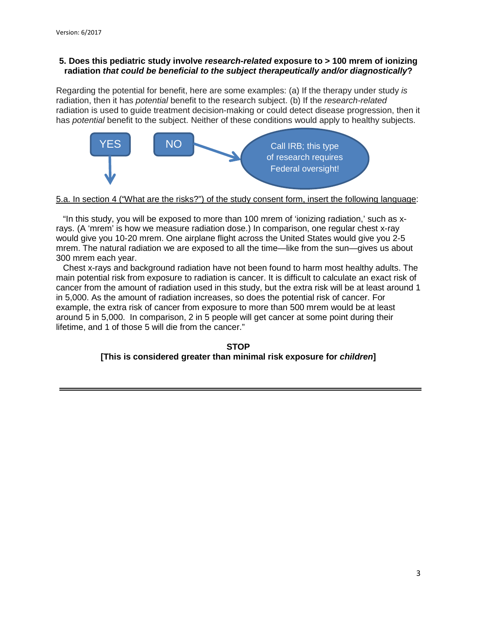# **5. Does this pediatric study involve** *research-related* **exposure to > 100 mrem of ionizing radiation** *that could be beneficial to the subject therapeutically and/or diagnostically***?**

Regarding the potential for benefit, here are some examples: (a) If the therapy under study *is* radiation, then it has *potential* benefit to the research subject. (b) If the *research-related*  radiation is used to guide treatment decision-making or could detect disease progression, then it has *potential* benefit to the subject. Neither of these conditions would apply to healthy subjects.



### 5.a. In section 4 ("What are the risks?") of the study consent form, insert the following language:

"In this study, you will be exposed to more than 100 mrem of 'ionizing radiation,' such as xrays. (A 'mrem' is how we measure radiation dose.) In comparison, one regular chest x-ray would give you 10-20 mrem. One airplane flight across the United States would give you 2-5 mrem. The natural radiation we are exposed to all the time—like from the sun—gives us about 300 mrem each year.

Chest x-rays and background radiation have not been found to harm most healthy adults. The main potential risk from exposure to radiation is cancer. It is difficult to calculate an exact risk of cancer from the amount of radiation used in this study, but the extra risk will be at least around 1 in 5,000. As the amount of radiation increases, so does the potential risk of cancer. For example, the extra risk of cancer from exposure to more than 500 mrem would be at least around 5 in 5,000. In comparison, 2 in 5 people will get cancer at some point during their lifetime, and 1 of those 5 will die from the cancer."

#### **STOP [This is considered greater than minimal risk exposure for** *children***]**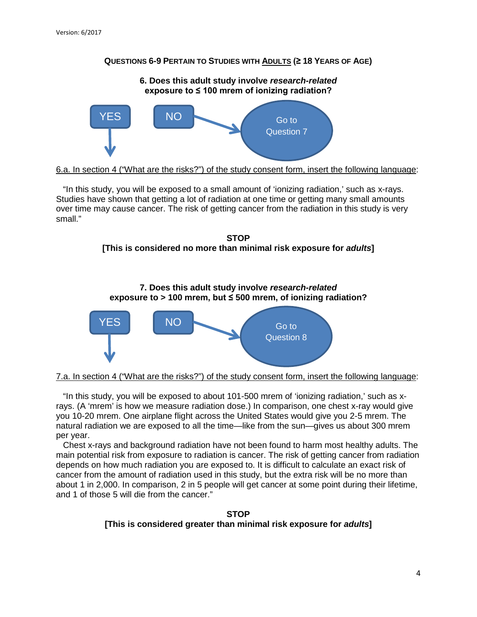# **QUESTIONS 6-9 PERTAIN TO STUDIES WITH ADULTS (≥ 18 YEARS OF AGE)**



6.a. In section 4 ("What are the risks?") of the study consent form, insert the following language:

"In this study, you will be exposed to a small amount of 'ionizing radiation,' such as x-rays. Studies have shown that getting a lot of radiation at one time or getting many small amounts over time may cause cancer. The risk of getting cancer from the radiation in this study is very small."







7.a. In section 4 ("What are the risks?") of the study consent form, insert the following language:

"In this study, you will be exposed to about 101-500 mrem of 'ionizing radiation,' such as xrays. (A 'mrem' is how we measure radiation dose.) In comparison, one chest x-ray would give you 10-20 mrem. One airplane flight across the United States would give you 2-5 mrem. The natural radiation we are exposed to all the time—like from the sun—gives us about 300 mrem per year.

Chest x-rays and background radiation have not been found to harm most healthy adults. The main potential risk from exposure to radiation is cancer. The risk of getting cancer from radiation depends on how much radiation you are exposed to. It is difficult to calculate an exact risk of cancer from the amount of radiation used in this study, but the extra risk will be no more than about 1 in 2,000. In comparison, 2 in 5 people will get cancer at some point during their lifetime, and 1 of those 5 will die from the cancer."

**STOP [This is considered greater than minimal risk exposure for** *adults***]**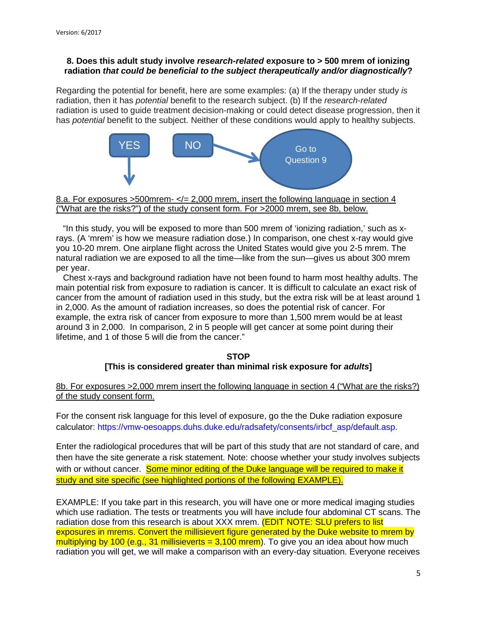# **8. Does this adult study involve** *research-related* **exposure to > 500 mrem of ionizing radiation** *that could be beneficial to the subject therapeutically and/or diagnostically***?**

Regarding the potential for benefit, here are some examples: (a) If the therapy under study *is* radiation, then it has *potential* benefit to the research subject. (b) If the *research-related*  radiation is used to guide treatment decision-making or could detect disease progression, then it has *potential* benefit to the subject. Neither of these conditions would apply to healthy subjects.



### 8.a. For exposures  $>500$  mrem- $\lt l = 2,000$  mrem, insert the following language in section 4 ("What are the risks?") of the study consent form. For >2000 mrem, see 8b, below.

"In this study, you will be exposed to more than 500 mrem of 'ionizing radiation,' such as xrays. (A 'mrem' is how we measure radiation dose.) In comparison, one chest x-ray would give you 10-20 mrem. One airplane flight across the United States would give you 2-5 mrem. The natural radiation we are exposed to all the time—like from the sun—gives us about 300 mrem per year.

Chest x-rays and background radiation have not been found to harm most healthy adults. The main potential risk from exposure to radiation is cancer. It is difficult to calculate an exact risk of cancer from the amount of radiation used in this study, but the extra risk will be at least around 1 in 2,000. As the amount of radiation increases, so does the potential risk of cancer. For example, the extra risk of cancer from exposure to more than 1,500 mrem would be at least around 3 in 2,000. In comparison, 2 in 5 people will get cancer at some point during their lifetime, and 1 of those 5 will die from the cancer."

# **STOP [This is considered greater than minimal risk exposure for** *adults***]**

8b. For exposures >2,000 mrem insert the following language in section 4 ("What are the risks?) of the study consent form.

For the consent risk language for this level of exposure, go the the Duke radiation exposure calculator: [https://vmw-oesoapps.duhs.duke.edu/radsafety/consents/irbcf\\_asp/default.asp.](https://vmw-oesoapps.duhs.duke.edu/radsafety/consents/irbcf_asp/default.asp)

Enter the radiological procedures that will be part of this study that are not standard of care, and then have the site generate a risk statement. Note: choose whether your study involves subjects with or without cancer. Some minor editing of the Duke language will be required to make it study and site specific (see highlighted portions of the following EXAMPLE).

EXAMPLE: If you take part in this research, you will have one or more medical imaging studies which use radiation. The tests or treatments you will have include four abdominal CT scans. The radiation dose from this research is about XXX mrem. **(EDIT NOTE: SLU prefers to list** exposures in mrems. Convert the millisievert figure generated by the Duke website to mrem by multiplying by 100 (e.g., 31 millisieverts = 3,100 mrem). To give you an idea about how much radiation you will get, we will make a comparison with an every-day situation. Everyone receives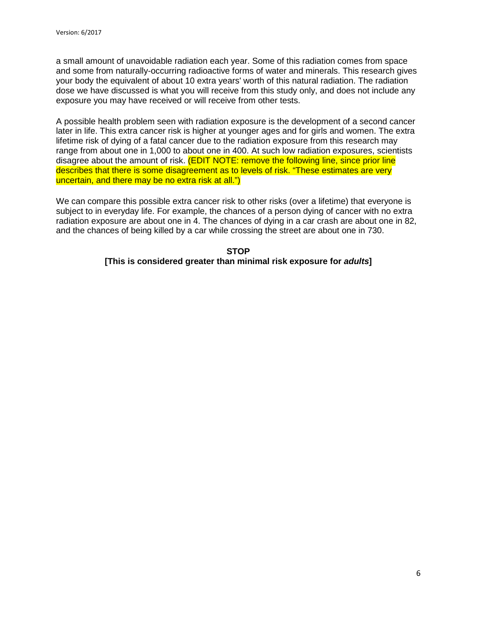a small amount of unavoidable radiation each year. Some of this radiation comes from space and some from naturally-occurring radioactive forms of water and minerals. This research gives your body the equivalent of about 10 extra years' worth of this natural radiation. The radiation dose we have discussed is what you will receive from this study only, and does not include any exposure you may have received or will receive from other tests.

A possible health problem seen with radiation exposure is the development of a second cancer later in life. This extra cancer risk is higher at younger ages and for girls and women. The extra lifetime risk of dying of a fatal cancer due to the radiation exposure from this research may range from about one in 1,000 to about one in 400. At such low radiation exposures, scientists disagree about the amount of risk. (EDIT NOTE: remove the following line, since prior line describes that there is some disagreement as to levels of risk. "These estimates are very uncertain, and there may be no extra risk at all.")

We can compare this possible extra cancer risk to other risks (over a lifetime) that everyone is subject to in everyday life. For example, the chances of a person dying of cancer with no extra radiation exposure are about one in 4. The chances of dying in a car crash are about one in 82, and the chances of being killed by a car while crossing the street are about one in 730.

# **STOP [This is considered greater than minimal risk exposure for** *adults***]**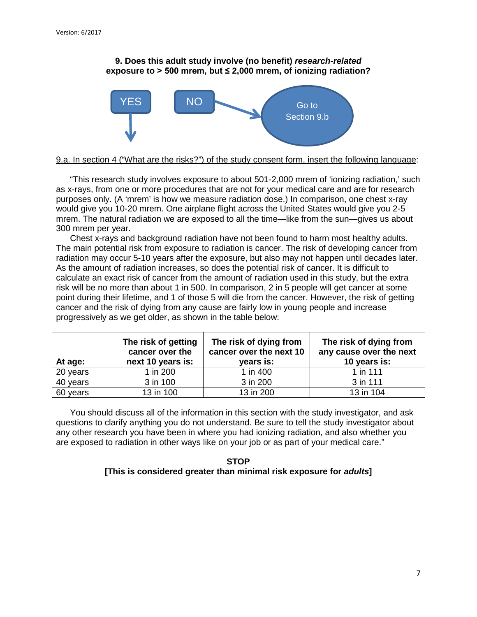### **9. Does this adult study involve (no benefit)** *research-related* **exposure to > 500 mrem, but ≤ 2,000 mrem, of ionizing radiation?**



#### 9.a. In section 4 ("What are the risks?") of the study consent form, insert the following language:

"This research study involves exposure to about 501-2,000 mrem of 'ionizing radiation,' such as x-rays, from one or more procedures that are not for your medical care and are for research purposes only. (A 'mrem' is how we measure radiation dose.) In comparison, one chest x-ray would give you 10-20 mrem. One airplane flight across the United States would give you 2-5 mrem. The natural radiation we are exposed to all the time—like from the sun—gives us about 300 mrem per year.

Chest x-rays and background radiation have not been found to harm most healthy adults. The main potential risk from exposure to radiation is cancer. The risk of developing cancer from radiation may occur 5-10 years after the exposure, but also may not happen until decades later. As the amount of radiation increases, so does the potential risk of cancer. It is difficult to calculate an exact risk of cancer from the amount of radiation used in this study, but the extra risk will be no more than about 1 in 500. In comparison, 2 in 5 people will get cancer at some point during their lifetime, and 1 of those 5 will die from the cancer. However, the risk of getting cancer and the risk of dying from any cause are fairly low in young people and increase progressively as we get older, as shown in the table below:

| At age:  | The risk of getting<br>cancer over the<br>next 10 years is: | The risk of dying from<br>cancer over the next 10<br>years is: | The risk of dying from<br>any cause over the next<br>10 years is: |
|----------|-------------------------------------------------------------|----------------------------------------------------------------|-------------------------------------------------------------------|
| 20 years | 1 in 200                                                    | 1 in 400                                                       | 1 in 111                                                          |
| 40 years | 3 in 100                                                    | 3 in 200                                                       | 3 in 111                                                          |
| 60 years | 13 in 100                                                   | 13 in 200                                                      | 13 in 104                                                         |

You should discuss all of the information in this section with the study investigator, and ask questions to clarify anything you do not understand. Be sure to tell the study investigator about any other research you have been in where you had ionizing radiation, and also whether you are exposed to radiation in other ways like on your job or as part of your medical care."

#### **STOP [This is considered greater than minimal risk exposure for** *adults***]**